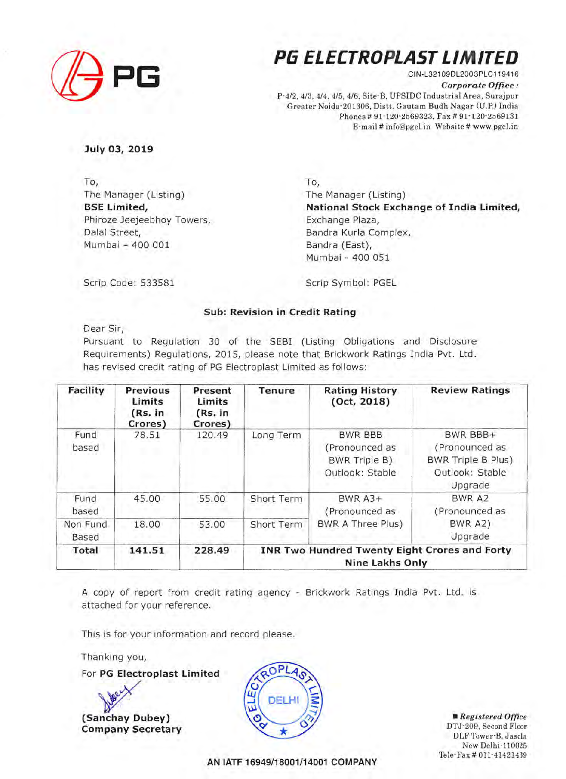

# **(/j PG Pli ELECTROPLAST LIMITED**

CIN-L321 09DL2003PLC119416 *Corporate Office:*  P-4/2, 4/3, 4/4, 4/5, 4/6, Site-B, UPSIDC Industrial Area, Surajpur Greater Noida-201306, Distt. Gautam Budh Nagar (U.P.) India Phones# 91-120-2569323, Fax# 91-120-2569131 E-mail# info@pgeLin Website# www.pgeLin

**July 03, 2019** 

To, The Manager (Listing) **BSE Limited,**  Phiroze Jeejeebhoy Towers, Dalal Street, Mumbai - 400 001

To, The Manager (Listing) **National Stock Exchange of India Limited,**  Exchange Plaza, Sandra Kurla Complex, Bandra (East), Mumbai - 400 051

Scrip Code: 533581

Scrip Symbol: PGEL

# **Sub: Revision in Credit Rating**

Dear Sir,

Pursuant to Regulation 30 of the SEBI (Listing Obligations and Disclosure Requirements) Regulations, 2015, please note that Brickwork Ratings India Pvt. Ltd. has revised credit rating of PG Electroplast Limited as follows:

| Facility          | Previous<br>Limits<br>(Rs. in<br>Crores) | Present<br>Limits<br>(Rs. in<br>Crores) | Tenure     | <b>Rating History</b><br>(Oct, 2018)                                    | <b>Review Ratings</b>                                                                 |
|-------------------|------------------------------------------|-----------------------------------------|------------|-------------------------------------------------------------------------|---------------------------------------------------------------------------------------|
| Fund<br>based     | 78.51<br>11 M                            | 120.49                                  | Long Term  | <b>BWR BBB</b><br>(Pronounced as<br>BWR Triple B)<br>Outlook: Stable    | BWR BBB+<br>(Pronounced as<br><b>BWR Triple B Plus)</b><br>Outlook: Stable<br>Upgrade |
| Fund<br>based     | 45,00                                    | 55.00                                   | Short Term | <b>BWR A3+</b><br>(Pronounced as                                        | BWR A2<br>(Pronounced as                                                              |
| Non Fund<br>Based | 18.00                                    | 53.00                                   | Short Term | <b>BWR A Three Plus)</b>                                                | <b>BWR A2)</b><br>Upgrade                                                             |
| Total             | 141.51                                   | 228.49                                  |            | INR Two Hundred Twenty Eight Crores and Forty<br><b>Nine Lakhs Only</b> |                                                                                       |

A copy of report from credit rating agency - Brickwork Ratings India Pvt. Ltd. is attached for your reference.

This is for your information and record please.

Thanking you,

For **PG Electroplast Limited** 

*¥*  **(Sanchay Dubey) Company Secretary** 



• *Registered Office*  DTJ-209, Second Floor DLF Tower-B, Jasola New Delhi-110025 Tele-Fax # 011-41421439

**AN IATF 16949/18001/14001 COMPANY**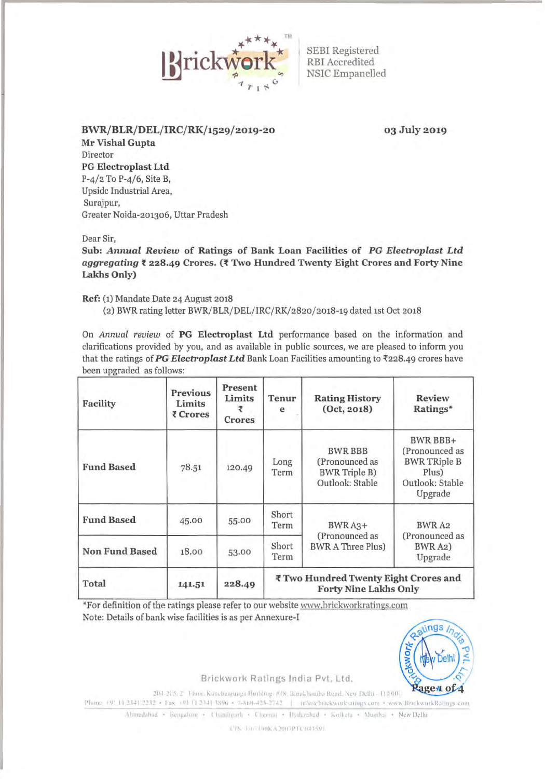

SEBI Registered RBI Accredited NSIC Empanelled

BWR/BLR/DEL/IRC/RK/1529/2019-20

03 July2019

Mr Vishal Gupta Director PG Electroplast Ltd P-4/2 To P-4/6, Site B, Upside Industrial Area, Surajpur, Greater Noida-201306, Uttar Pradesh

Dear Sir,

Sub: *Annual Review* of Ratings of Bank Loan Facilities of *PG Electroplast Ltd aggregating* t 228.49 Crores. ('f Two Hundred Twenty Eight Crores and Forty Nine Lakhs Only)

Ref: (1) Mandate Date 24 August 2018

(2) BWR rating letter BWR/BLR/DEL/IRC/RK/2820/2018-19 dated 1st Oct 2018

On *Annual review* of PG Electroplast Ltd performance based on the information and clarifications provided by you, and as available in public sources, we are pleased to inform you that the ratings of PG Electroplast Ltd Bank Loan Facilities amounting to  $\overline{\tau}$ 228.49 crores have been upgraded as follows:

| Facility              | <b>Previous</b><br>Limits<br>₹ Crores | Present<br>Limits<br>₹<br><b>Crores</b> | Tenur<br>e                                                            | <b>Rating History</b><br>(0ct, 2018)                                        | <b>Review</b><br>Ratings*                                                                |
|-----------------------|---------------------------------------|-----------------------------------------|-----------------------------------------------------------------------|-----------------------------------------------------------------------------|------------------------------------------------------------------------------------------|
| <b>Fund Based</b>     | 78.51                                 | 120.49                                  | Long<br>Term                                                          | <b>BWR BBB</b><br>(Pronounced as<br><b>BWR Triple B)</b><br>Outlook: Stable | BWR BBB+<br>(Pronounced as<br><b>BWR TRiple B</b><br>Plus)<br>Outlook: Stable<br>Upgrade |
| <b>Fund Based</b>     | 45.00                                 | 55.00                                   | Short<br>Term                                                         | BWRA3+<br>(Pronounced as<br><b>BWR A Three Plus)</b>                        | BWR A2<br>(Pronounced as<br>BWR A2)<br>Upgrade                                           |
| <b>Non Fund Based</b> | 18.00                                 | 53.00                                   | Short<br>Term                                                         |                                                                             |                                                                                          |
| Total                 | 141.51                                | 228.49                                  | ₹ Two Hundred Twenty Eight Crores and<br><b>Forty Nine Lakhs Only</b> |                                                                             |                                                                                          |

\*For definition of the ratings please refer to our website www.brickworkratings.com Note: Details of bank wise facilities is as per Annexure-!



Brickwork Ratings India Pvt. Ltd.

204-208-2 • Floor, Kanchenjunga Building, #18, Baraklandsa Ruad, New Delhi - (10.001)<br>
Phone +91 (1.2341.2232 • Fax +91 (1.2341.3896 • 1-860-425-2742 | - information between kunnings com • www.BrickworkRatings.com<br>
Ahmeda

 $(1\% \pm 167)$  link A2007PTC043591.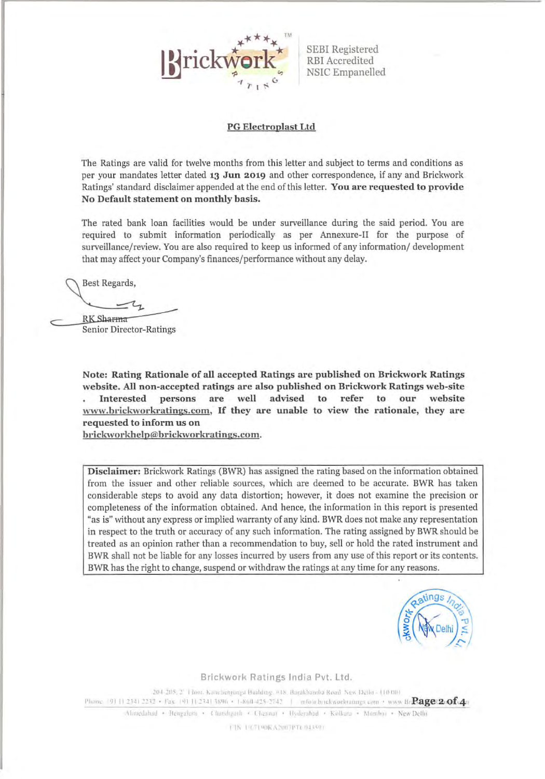

SEBI Registered RBI Accredited NSIC Empanelled

#### PG Electroplast Ltd

The Ratings are valid for twelve months from this letter and subject to terms and conditions as per your mandates letter dated 13 Jun 2019 and other correspondence, if any and Brickwork Ratings' standard disclaimer appended at the end of this letter. You are requested to provide No Default statement on monthly basis.

The rated bank loan facilities would be under surveillance during the said period. You are required to submit information periodically as per Annexure-II for the purpose of surveillance/review. You are also required to keep us informed of any information/ development that may affect your Company's finances/ performance without any delay.

**Best Regards,** 

RK Sharma **Senior Director-Ratings** 

Note: Rating Rationale of all accepted Ratings are published on Brickwork Ratings website. All non-accepted ratings are also published on Brickwork Ratings web-site Interested persons are well advised to refer to our website www.brickworkratings.com, If they are unable to view the rationale, they are requested to inform us on

brickworkhelp@brickworkratings.com.

Disclaimer: Brickwork Ratings (BWR) has assigned the rating based on the information obtained from the issuer and other reliable sources, which are deemed to be accurate. BWR has taken considerable steps to avoid any data distortion; however, it does not examine the precision or completeness of the information obtained. And hence, the information in this report is presented "as is" without any express or implied warranty of any kind. BWR does not make any representation in respect to the truth or accuracy of any such information. The rating assigned by BWR should be treated as an opinion rather than a recommendation to buy, sell or hold the rated instrument and BWR shall not be liable for any losses incurred by users from any use of this report or its contents. BWR has the right to change, suspend or withdraw the ratings at any time for any reasons.



Brickwork Ratings India Pvt. Ltd.

204-205; 2' Hoor. Kanchenjunga Burlding. #18. Barakhaniba Road "New Defin - 110 001 Phone [9] [1 2341 2232 • Fax [9] [1 2341 3896 • 1-860-425-2742 | mrow brekworkratings com • www.ffr $Page(2.014)$ 

 $\Lambda$ hmedahad • Bengalurn • Charoligarh • Unennar • Hyderabad • Kollata • Mombor • New Delhi

( IN 1167190RA2007PT) 043501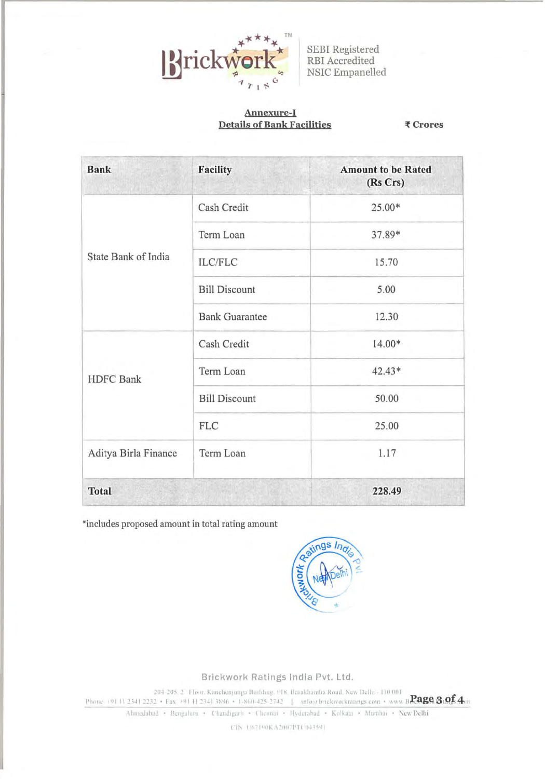

SEBI Registered RBI Accredited NSIC Empanelled

### Annexure-I **Details of Bank Facilities**

₹ Crores

| <b>Bank</b>          | <b>Facility</b>                                                                                                                         | <b>Amount to be Rated</b><br>(Rs Crs) |  |
|----------------------|-----------------------------------------------------------------------------------------------------------------------------------------|---------------------------------------|--|
|                      | Cash Credit                                                                                                                             | 25.00*                                |  |
|                      | Term Loan                                                                                                                               | 37.89*                                |  |
| State Bank of India  | <b>ILC/FLC</b><br><b>Bill Discount</b><br><b>Bank Guarantee</b><br>Cash Credit<br>Term Loan<br><b>Bill Discount</b><br>FLC<br>Term Loan | 15.70                                 |  |
|                      |                                                                                                                                         | 5.00                                  |  |
|                      |                                                                                                                                         | 12.30                                 |  |
|                      |                                                                                                                                         | 14.00*                                |  |
| <b>HDFC</b> Bank     |                                                                                                                                         | $42.43*$                              |  |
|                      |                                                                                                                                         | 50.00                                 |  |
|                      |                                                                                                                                         | 25.00                                 |  |
| Aditya Birla Finance |                                                                                                                                         | 1.17                                  |  |
| <b>Total</b>         |                                                                                                                                         | 228.49                                |  |

\*includes proposed amount in total rating amount



Brickwork Ratings India Pvt. Ltd.

204-205, 27 Floor, Kanchenjungs Building, #18. Barakhamba Road, New Delhi - 110 001 Phone (91 | 1 2341 2232 • Fax +91 11 2341 3896 • 1-860-425-2742 | info@brickworkratings.com • www.BRage 3.of 4.m

Ahmedabad • Bengalurn • Chandigarh • Chennai • Hyderabad • Kolkata • Mumbai • New Delhi

CIN 1/67140KA2007PTC043591